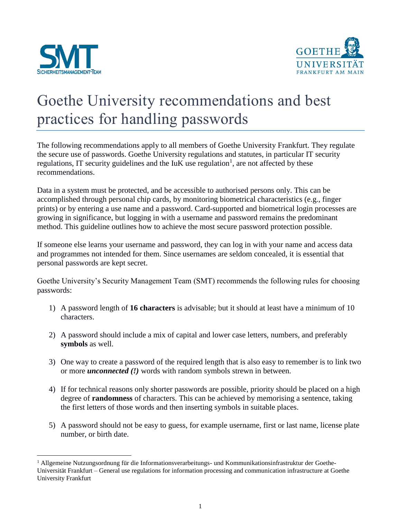

 $\overline{a}$ 



## Goethe University recommendations and best practices for handling passwords

The following recommendations apply to all members of Goethe University Frankfurt. They regulate the secure use of passwords. Goethe University regulations and statutes, in particular IT security regulations, IT security guidelines and the  $I uK$  use regulation<sup>1</sup>, are not affected by these recommendations.

Data in a system must be protected, and be accessible to authorised persons only. This can be accomplished through personal chip cards, by monitoring biometrical characteristics (e.g., finger prints) or by entering a use name and a password. Card-supported and biometrical login processes are growing in significance, but logging in with a username and password remains the predominant method. This guideline outlines how to achieve the most secure password protection possible.

If someone else learns your username and password, they can log in with your name and access data and programmes not intended for them. Since usernames are seldom concealed, it is essential that personal passwords are kept secret.

Goethe University's Security Management Team (SMT) recommends the following rules for choosing passwords:

- 1) A password length of **16 characters** is advisable; but it should at least have a minimum of 10 characters.
- 2) A password should include a mix of capital and lower case letters, numbers, and preferably **symbols** as well.
- 3) One way to create a password of the required length that is also easy to remember is to link two or more *unconnected (!)* words with random symbols strewn in between.
- 4) If for technical reasons only shorter passwords are possible, priority should be placed on a high degree of **randomness** of characters. This can be achieved by memorising a sentence, taking the first letters of those words and then inserting symbols in suitable places.
- 5) A password should not be easy to guess, for example username, first or last name, license plate number, or birth date.

<sup>1</sup> Allgemeine Nutzungsordnung für die Informationsverarbeitungs- und Kommunikationsinfrastruktur der Goethe-Universität Frankfurt – General use regulations for information processing and communication infrastructure at Goethe University Frankfurt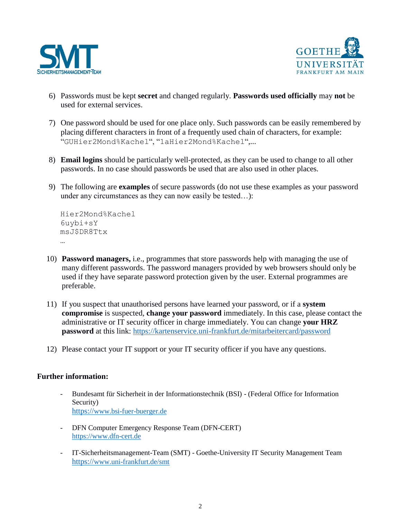



- 6) Passwords must be kept **secret** and changed regularly. **Passwords used officially** may **not** be used for external services.
- 7) One password should be used for one place only. Such passwords can be easily remembered by placing different characters in front of a frequently used chain of characters, for example: "GUHier2Mond%Kachel", "1aHier2Mond%Kachel",...
- 8) **Email logins** should be particularly well-protected, as they can be used to change to all other passwords. In no case should passwords be used that are also used in other places.
- 9) The following are **examples** of secure passwords (do not use these examples as your password under any circumstances as they can now easily be tested…):

```
Hier2Mond%Kachel
6uybi+sY
msJ$DR8Ttx
```
- 10) **Password managers,** i.e., programmes that store passwords help with managing the use of many different passwords. The password managers provided by web browsers should only be used if they have separate password protection given by the user. External programmes are preferable.
- 11) If you suspect that unauthorised persons have learned your password, or if a **system compromise** is suspected, **change your password** immediately. In this case, please contact the administrative or IT security officer in charge immediately. You can change **your HRZ password** at this link: <https://kartenservice.uni-frankfurt.de/mitarbeitercard/password>
- 12) Please contact your IT support or your IT security officer if you have any questions.

## **Further information:**

- Bundesamt für Sicherheit in der Informationstechnik (BSI) (Federal Office for Information Security) https://[www.bsi-fuer-buerger.de](https://www.bsi-fuer-buerger.de/)
- DFN Computer Emergency Response Team (DFN-CERT) [https://www.dfn-cert.de](https://www.dfn-cert.de/)
- IT-Sicherheitsmanagement-Team (SMT) Goethe-University IT Security Management Team https://[www.uni-frankfurt.de/smt](https://www.uni-frankfurt.de/smt)